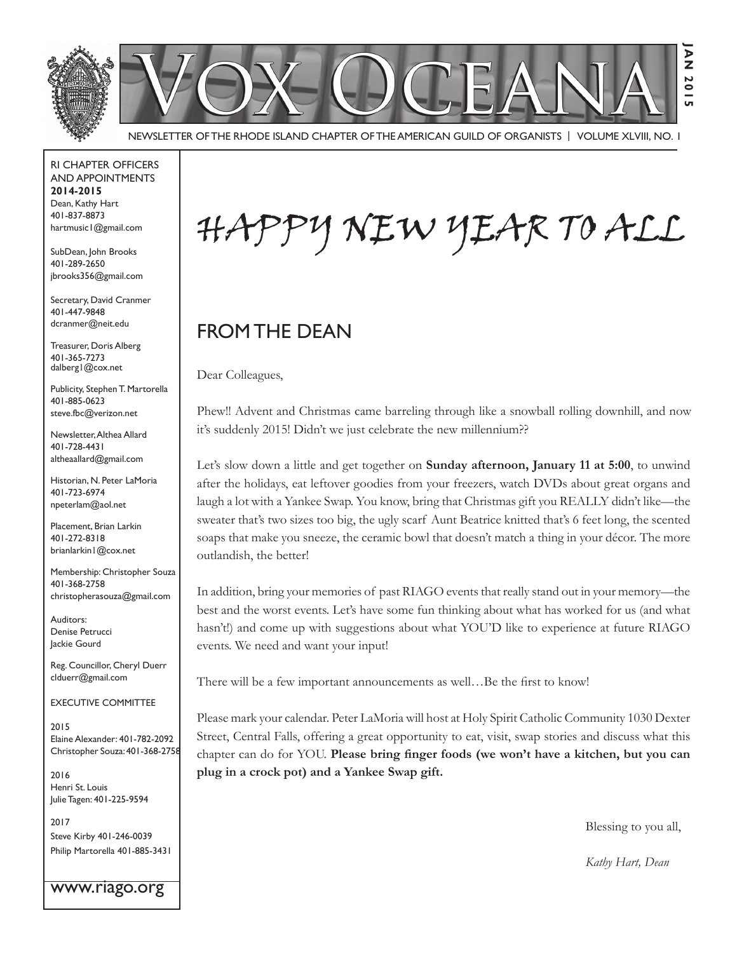

Newsletter of the Rhode Island Chapter of the American Guild of OrganistS | Volume XLVIII, No. 1

RI Chapter Officers and Appointments **2014-2015** Dean, Kathy Hart 401-837-8873 hartmusic1@gmail.com

SubDean, John Brooks 401-289-2650 jbrooks356@gmail.com

Secretary, David Cranmer 401-447-9848 dcranmer@neit.edu

Treasurer, Doris Alberg 401-365-7273 dalberg1@cox.net

Publicity, Stephen T. Martorella 401-885-0623 steve.fbc@verizon.net

Newsletter, Althea Allard 401-728-4431 altheaallard@gmail.com

Historian, N. Peter LaMoria 401-723-6974 npeterlam@aol.net

Placement, Brian Larkin 401-272-8318 brianlarkin1@cox.net

Membership: Christopher Souza 401-368-2758 christopherasouza@gmail.com

Auditors: Denise Petrucci Jackie Gourd

Reg. Councillor, Cheryl Duerr clduerr@gmail.com

Executive Committee

2015 Elaine Alexander: 401-782-2092 Christopher Souza: 401-368-2758

2016 Henri St. Louis Julie Tagen: 401-225-9594

2017 Steve Kirby 401-246-0039 Philip Martorella 401-885-3431

www.riago.org

Happy New Year to All

## FROM THE DEAN

Dear Colleagues,

Phew!! Advent and Christmas came barreling through like a snowball rolling downhill, and now it's suddenly 2015! Didn't we just celebrate the new millennium??

Let's slow down a little and get together on **Sunday afternoon, January 11 at 5:00**, to unwind after the holidays, eat leftover goodies from your freezers, watch DVDs about great organs and laugh a lot with a Yankee Swap. You know, bring that Christmas gift you REALLY didn't like—the sweater that's two sizes too big, the ugly scarf Aunt Beatrice knitted that's 6 feet long, the scented soaps that make you sneeze, the ceramic bowl that doesn't match a thing in your décor. The more outlandish, the better!

In addition, bring your memories of past RIAGO events that really stand out in your memory—the best and the worst events. Let's have some fun thinking about what has worked for us (and what hasn't!) and come up with suggestions about what YOU'D like to experience at future RIAGO events. We need and want your input!

There will be a few important announcements as well…Be the first to know!

Please mark your calendar. Peter LaMoria will host at Holy Spirit Catholic Community 1030 Dexter Street, Central Falls, offering a great opportunity to eat, visit, swap stories and discuss what this chapter can do for YOU. **Please bring finger foods (we won't have a kitchen, but you can plug in a crock pot) and a Yankee Swap gift.**

Blessing to you all,

*Kathy Hart, Dean*